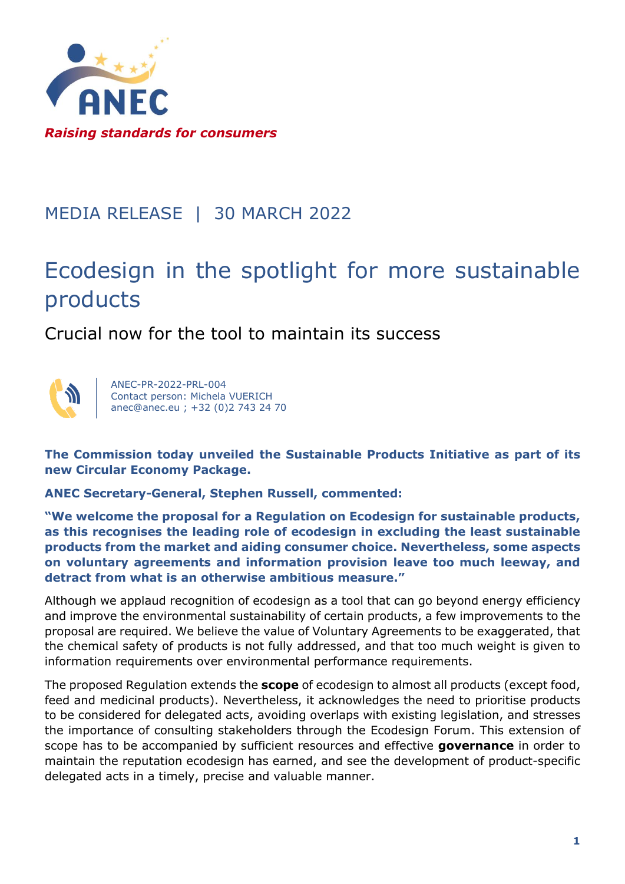

## MEDIA RELEASE | 30 MARCH 2022

## Ecodesign in the spotlight for more sustainable products

Crucial now for the tool to maintain its success



ANEC-PR-2022-PRL-004 Contact person: Michela VUERICH anec@anec.eu ; +32 (0)2 743 24 70

**The Commission today unveiled the Sustainable Products Initiative as part of its new Circular Economy Package.**

**ANEC Secretary-General, Stephen Russell, commented:**

**"We welcome the proposal for a Regulation on Ecodesign for sustainable products, as this recognises the leading role of ecodesign in excluding the least sustainable products from the market and aiding consumer choice. Nevertheless, some aspects on voluntary agreements and information provision leave too much leeway, and detract from what is an otherwise ambitious measure."**

Although we applaud recognition of ecodesign as a tool that can go beyond energy efficiency and improve the environmental sustainability of certain products, a few improvements to the proposal are required. We believe the value of Voluntary Agreements to be exaggerated, that the chemical safety of products is not fully addressed, and that too much weight is given to information requirements over environmental performance requirements.

The proposed Regulation extends the **scope** of ecodesign to almost all products (except food, feed and medicinal products). Nevertheless, it acknowledges the need to prioritise products to be considered for delegated acts, avoiding overlaps with existing legislation, and stresses the importance of consulting stakeholders through the Ecodesign Forum. This extension of scope has to be accompanied by sufficient resources and effective **governance** in order to maintain the reputation ecodesign has earned, and see the development of product-specific delegated acts in a timely, precise and valuable manner.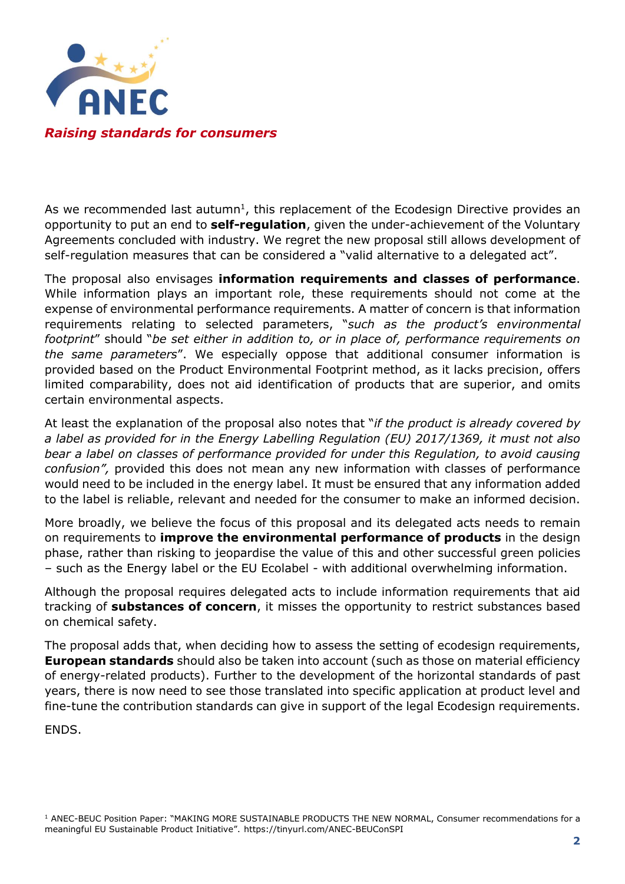

As we recommended last autumn<sup>1</sup>, this replacement of the Ecodesign Directive provides an opportunity to put an end to **self-regulation**, given the under-achievement of the Voluntary Agreements concluded with industry. We regret the new proposal still allows development of self-regulation measures that can be considered a "valid alternative to a delegated act".

The proposal also envisages **information requirements and classes of performance**. While information plays an important role, these requirements should not come at the expense of environmental performance requirements. A matter of concern is that information requirements relating to selected parameters, "*such as the product's environmental footprint*" should "*be set either in addition to, or in place of, performance requirements on the same parameters*". We especially oppose that additional consumer information is provided based on the Product Environmental Footprint method, as it lacks precision, offers limited comparability, does not aid identification of products that are superior, and omits certain environmental aspects.

At least the explanation of the proposal also notes that "*if the product is already covered by a label as provided for in the Energy Labelling Regulation (EU) 2017/1369, it must not also bear a label on classes of performance provided for under this Regulation, to avoid causing confusion",* provided this does not mean any new information with classes of performance would need to be included in the energy label. It must be ensured that any information added to the label is reliable, relevant and needed for the consumer to make an informed decision.

More broadly, we believe the focus of this proposal and its delegated acts needs to remain on requirements to **improve the environmental performance of products** in the design phase, rather than risking to jeopardise the value of this and other successful green policies – such as the Energy label or the EU Ecolabel - with additional overwhelming information.

Although the proposal requires delegated acts to include information requirements that aid tracking of **substances of concern**, it misses the opportunity to restrict substances based on chemical safety.

The proposal adds that, when deciding how to assess the setting of ecodesign requirements, **European standards** should also be taken into account (such as those on material efficiency of energy-related products). Further to the development of the horizontal standards of past years, there is now need to see those translated into specific application at product level and fine-tune the contribution standards can give in support of the legal Ecodesign requirements.

ENDS.